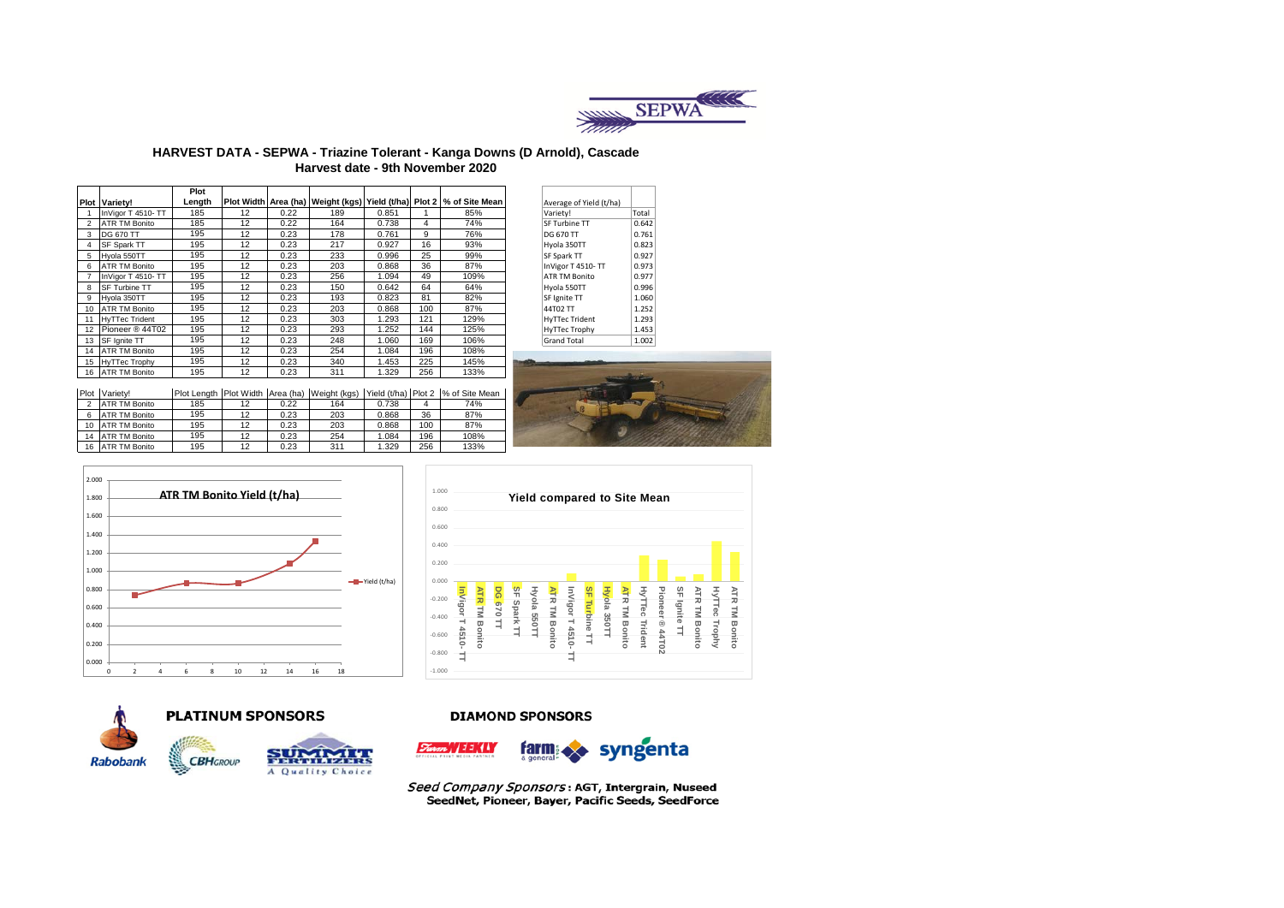

### **HARVEST DATA - SEPWA - Triazine Tolerant - Kanga Downs (D Arnold), Cascade Harvest date - 9th November 2020**

|    |                       | Plot   |    |      |     |       |     |                                                                                              |                         |       |
|----|-----------------------|--------|----|------|-----|-------|-----|----------------------------------------------------------------------------------------------|-------------------------|-------|
|    | <b>Plot Variety!</b>  | Length |    |      |     |       |     | Plot Width Area (ha)   Weight (kgs)   Yield (t/ha)   Plot 2 % of Site Mean                   | Average of Yield (t/ha) |       |
|    | InVigor T 4510- TT    | 185    | 12 | 0.22 | 189 | 0.851 |     | 85%                                                                                          | Variety!                | Total |
|    | <b>ATR TM Bonito</b>  | 185    | 12 | 0.22 | 164 | 0.738 | 4   | 74%                                                                                          | SF Turbine TT           | 0.642 |
| 3  | <b>DG 670 TT</b>      | 195    | 12 | 0.23 | 178 | 0.761 | 9   | 76%                                                                                          | DG 670 TT               | 0.761 |
|    | SF Spark TT           | 195    | 12 | 0.23 | 217 | 0.927 | 16  | 93%                                                                                          | Hyola 350TT             | 0.823 |
| 5  | Hvola 550TT           | 195    | 12 | 0.23 | 233 | 0.996 | 25  | 99%                                                                                          | SF Spark TT             | 0.927 |
| 6  | <b>ATR TM Bonito</b>  | 195    | 12 | 0.23 | 203 | 0.868 | 36  | 87%                                                                                          | InVigor T 4510-TT       | 0.973 |
|    | InVigor T 4510- TT    | 195    | 12 | 0.23 | 256 | 1.094 | 49  | 109%                                                                                         | ATR TM Bonito           | 0.977 |
| 8  | <b>SF Turbine TT</b>  | 195    | 12 | 0.23 | 150 | 0.642 | 64  | 64%                                                                                          | Hyola 550TT             | 0.996 |
| 9  | Hvola 350TT           | 195    | 12 | 0.23 | 193 | 0.823 | 81  | 82%                                                                                          | SF Ignite TT            | 1.060 |
| 10 | <b>ATR TM Bonito</b>  | 195    | 12 | 0.23 | 203 | 0.868 | 100 | 87%                                                                                          | 44T02 TT                | 1.252 |
| 11 | <b>HyTTec Trident</b> | 195    | 12 | 0.23 | 303 | 1.293 | 121 | 129%                                                                                         | <b>HyTTec Trident</b>   | 1.293 |
| 12 | Pioneer ® 44T02       | 195    | 12 | 0.23 | 293 | 1.252 | 144 | 125%                                                                                         | HyTTec Trophy           | 1.453 |
| 13 | SF Ignite TT          | 195    | 12 | 0.23 | 248 | 1.060 | 169 | 106%                                                                                         | <b>Grand Total</b>      | 1.002 |
| 14 | <b>ATR TM Bonito</b>  | 195    | 12 | 0.23 | 254 | 1.084 | 196 | 108%                                                                                         |                         |       |
| 15 | HyTTec Trophy         | 195    | 12 | 0.23 | 340 | 1.453 | 225 | 145%                                                                                         |                         |       |
| 16 | <b>ATR TM Bonito</b>  | 195    | 12 | 0.23 | 311 | 1.329 | 256 | 133%                                                                                         |                         |       |
|    |                       |        |    |      |     |       |     |                                                                                              |                         |       |
|    | Plot Variety!         |        |    |      |     |       |     | Plot Length   Plot Width   Area (ha)   Weight (kgs)   Yield (t/ha)   Plot 2   % of Site Mean |                         |       |
|    | <b>ATR TM Bonito</b>  | 185    | 12 | 0.22 | 164 | 0.738 | 4   | 74%                                                                                          |                         |       |
| 6. | <b>ATR TM Bonito</b>  | 195    | 12 | 0.23 | 203 | 0.868 | 36  | 87%                                                                                          |                         |       |

10 ATR TM Bonito 195 12 0.23 203 0.868 100 87% 14 ATR TM Bonito 195 12 0.23 254 1.084 196 108%

| Average of Yield (t/ha) |       |
|-------------------------|-------|
| Variety!                | Total |
| SF Turbine TT           | 0.642 |
| DG 670 TT               | 0.761 |
| Hyola 350TT             | 0.823 |
| SF Spark TT             | 0.927 |
| InVigor T 4510-TT       | 0.973 |
| <b>ATR TM Bonito</b>    | 0.977 |
| Hyola 550TT             | 0.996 |
| SF Ignite TT            | 1.060 |
| 44T02 TT                | 1.252 |
| <b>HyTTec Trident</b>   | 1.293 |
| HyTTec Trophy           | 1.453 |
| <b>Grand Total</b>      | 1.002 |
|                         |       |









16 ATR TM Bonito



**CBH**GROUP



#### **DIAMOND SPONSORS**





Seed Company Sponsors: AGT, Intergrain, Nuseed SeedNet, Pioneer, Bayer, Pacific Seeds, SeedForce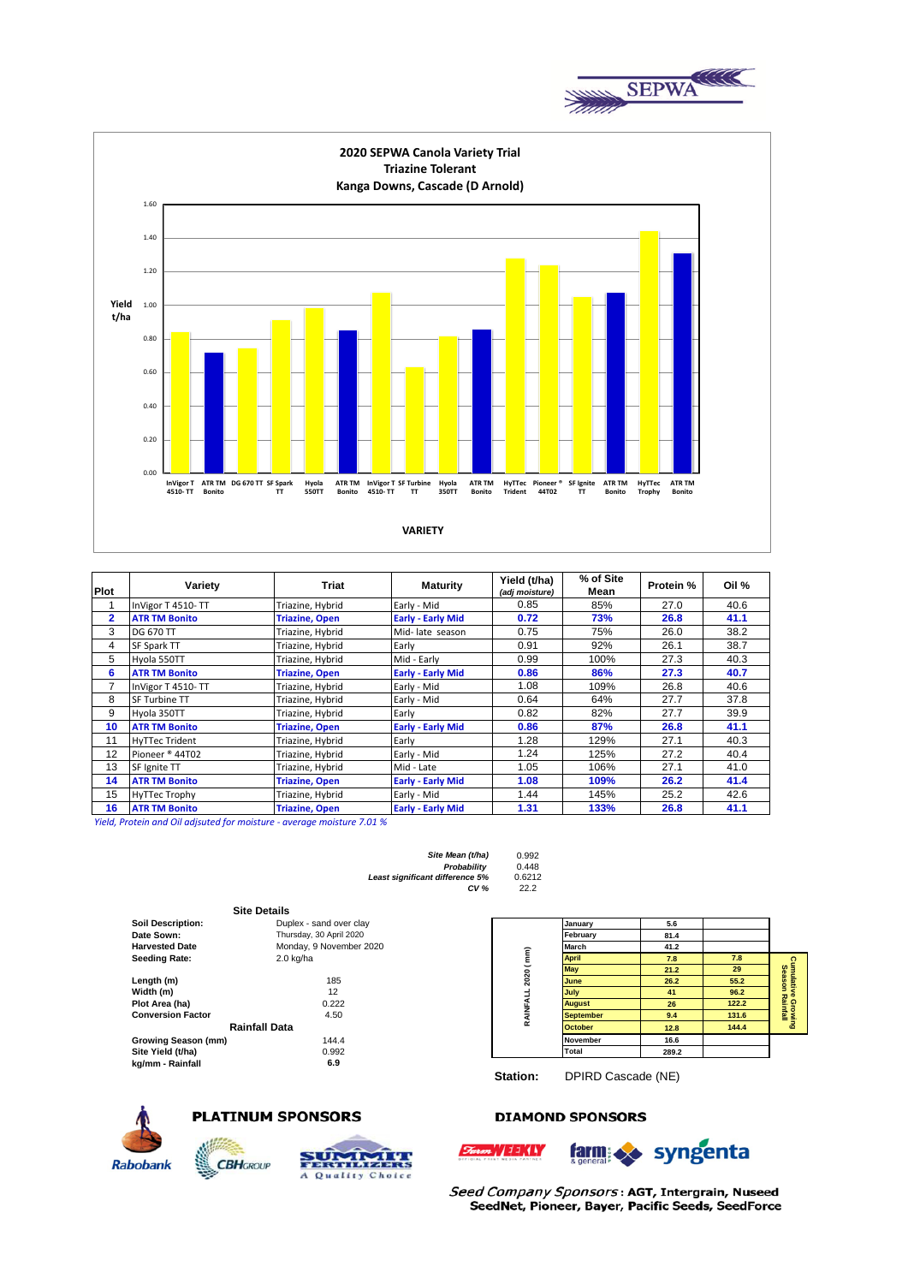



| <b>Plot</b> | Variety               | Triat                 | <b>Maturity</b>          | Yield (t/ha)<br>(adj moisture) | % of Site<br>Mean | Protein % | Oil % |
|-------------|-----------------------|-----------------------|--------------------------|--------------------------------|-------------------|-----------|-------|
|             | InVigor T 4510-TT     | Triazine, Hybrid      | Early - Mid              | 0.85                           | 85%               | 27.0      | 40.6  |
| 2           | <b>ATR TM Bonito</b>  | <b>Triazine, Open</b> | <b>Early - Early Mid</b> | 0.72                           | 73%               | 26.8      | 41.1  |
| 3           | <b>DG 670 TT</b>      | Triazine, Hybrid      | Mid-late season          | 0.75                           | 75%               | 26.0      | 38.2  |
| 4           | SF Spark TT           | Triazine, Hybrid      | Early                    | 0.91                           | 92%               | 26.1      | 38.7  |
| 5           | Hvola 550TT           | Triazine, Hybrid      | Mid - Early              | 0.99                           | 100%              | 27.3      | 40.3  |
| 6           | <b>ATR TM Bonito</b>  | <b>Triazine, Open</b> | <b>Early - Early Mid</b> | 0.86                           | 86%               | 27.3      | 40.7  |
| 7           | InVigor T 4510-TT     | Triazine, Hybrid      | Early - Mid              | 1.08                           | 109%              | 26.8      | 40.6  |
| 8           | SF Turbine TT         | Triazine, Hybrid      | Early - Mid              | 0.64                           | 64%               | 27.7      | 37.8  |
| 9           | Hvola 350TT           | Triazine, Hybrid      | Early                    | 0.82                           | 82%               | 27.7      | 39.9  |
| 10          | <b>ATR TM Bonito</b>  | <b>Triazine, Open</b> | <b>Early - Early Mid</b> | 0.86                           | 87%               | 26.8      | 41.1  |
| 11          | <b>HyTTec Trident</b> | Triazine, Hybrid      | Early                    | 1.28                           | 129%              | 27.1      | 40.3  |
| 12          | Pioneer ® 44T02       | Triazine, Hybrid      | Early - Mid              | 1.24                           | 125%              | 27.2      | 40.4  |
| 13          | SF Ignite TT          | Triazine, Hybrid      | Mid - Late               | 1.05                           | 106%              | 27.1      | 41.0  |
| 14          | <b>ATR TM Bonito</b>  | <b>Triazine, Open</b> | <b>Early - Early Mid</b> | 1.08                           | 109%              | 26.2      | 41.4  |
| 15          | HyTTec Trophy         | Triazine, Hybrid      | Early - Mid              | 1.44                           | 145%              | 25.2      | 42.6  |
| 16          | <b>ATR TM Bonito</b>  | <b>Triazine, Open</b> | <b>Early - Early Mid</b> | 1.31                           | 133%              | 26.8      | 41.1  |

*Yield, Protein and Oil adjsuted for moisture - average moisture 7.01 %*

| Site Mean (t/ha)                | 0.992  |
|---------------------------------|--------|
| Probability                     | 0.448  |
| Least significant difference 5% | 0.6212 |
| CV <sub>%</sub>                 | 22.2   |

|                          | <b>Site Details</b>     |           |                  |       |       |
|--------------------------|-------------------------|-----------|------------------|-------|-------|
| <b>Soil Description:</b> | Duplex - sand over clay |           | January          | 5.6   |       |
| Date Sown:               | Thursday, 30 April 2020 |           | February         | 81.4  |       |
| <b>Harvested Date</b>    | Monday, 9 November 2020 |           | March            | 41.2  |       |
| <b>Seeding Rate:</b>     | $2.0$ kg/ha             | 2020 (mm) | <b>April</b>     | 7.8   | 7.8   |
|                          |                         |           | <b>May</b>       | 21.2  | 29    |
| Length (m)               | 185                     |           | June             | 26.2  | 55.2  |
| Width (m)                | 12                      |           | July             | 41    | 96.2  |
| Plot Area (ha)           | 0.222                   |           | <b>August</b>    | 26    | 122.2 |
| <b>Conversion Factor</b> | 4.50                    | RAINFALL  | <b>September</b> | 9.4   | 131.6 |
|                          | <b>Rainfall Data</b>    |           | <b>October</b>   | 12.8  | 144.4 |
| Growing Season (mm)      | 144.4                   |           | <b>November</b>  | 16.6  |       |
| Site Yield (t/ha)        | 0.992                   |           | Total            | 289.2 |       |
| kg/mm - Rainfall         | 6.9                     |           |                  |       |       |



**Station:** DPIRD Cascade (NE)



**SER** 

# **PLATINUM SPONSORS**

**CBH**GROUP



## **DIAMOND SPONSORS**





Seed Company Sponsors: AGT, Intergrain, Nuseed SeedNet, Pioneer, Bayer, Pacific Seeds, SeedForce